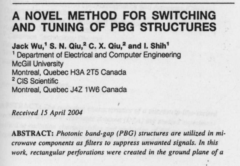# **A NOVEL METHOD FOR SWITCHING AND TUNING OF PBG STRUCTURES**

**Jack Wu**,' **S. N. Qiu**? **C. X. Qiu**,**2 and I. Shih'** ' Department of Electrical and Computer Engineering **McGill University** Montreal, Quebec H3A 2T5 Canada <sup>2</sup> CIS Scientific Montreal, Quebec J4Z 1W6 Canada

#### Received 15 April 2004

ABSTRACT: *Photonic band-gap (PBG) structures are* **utilized** *in microwave components as filters to* suppress *unwanted* signals. *In this work, rectangular perforations were* created **in** *the* ground *plane of a*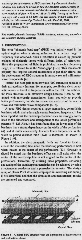*microstrip line* **to construct a** *PBG structure. A gold-coated alumina substrate was utilized* **to** *switch* **or tune** *the bandstop characteristics of this structure.* **It was** *demonstrated* **that** *the bandstop characteristics were switched off from - 35 to -1 dB at 16 GHz.* **Tuning** *of the bandstop edge with* a shift of 1.5 GHz *was* **also shown**. **0 2004 Wiley Periodicals, Inc. Microwave Opt Technol Lett 43** : **334-337, 2004;** Published online in Wiley InterScience (www.interscience.wiley.com). DOI 10. l 002/**mop.20462**

**Key words**: photonic band-gap (PBG); bandstop; microstrip; piezoelectric actuator; **alumina substrate**

# **1. INTRODUCTION**

The term "photonic **band**-**gap" (PBG**) **was initially** used in the optical regime **when a** strong reflection **in a certain** range of frequency was observed. Such a reflection is caused by periodic changes of dielectric layers with different index of refractions. Since the propagation of light is prohibited in such a frequency range, it is referred to as the "band- **gap" [1-3]** . This remarkable property has inspired several researchers to put their efforts into the development of PBG structures in microwave and millimeterwave components [4].

Interest has been paid to microwave PBG structures because of their extraordinary features, for example, prohibiting electromagnetic waves to travel in frequencies within the PBG. In addition, the PBG structure is an attractive design because it can be integrated with microstrip transmission lines, not only to provide better performance, but also to reduce size and cost of the microwave and millimeter-wave components [5-8].

A good PBG design requires a large attenuation, controllable bandstop width, and a desirable central bandstop frequency. It has been reported that the bandstop characteristics are strongly correlated to the dimensions **and arrangement** of the lattice perforation patterns [9-12]. Also, **it has been** found that the lower edge of the bandstop has a strong dependency on the width of the perforation (d) and it shifts consistently towards lower frequencies as the width to period distance ratio *(dia)* is increased, as shown in Figure 1 [9].

In addition, the electromagnetic **fields are** found to localize atound the microstrip **line since the** bandstop performance is best when located at the center of the perforations [13]. However, it should be noted **that the** bandstop effect can **still exist** when the center of the microstrip line **is not aligned** to the center of the perforations. Therefore, **by utilizing these** properties, switching **and tuning** of the **bandstop characteristics can be achieved** by using **a rectangular** conductor **and a piezoelectric actuator**. The design setup of planar PBG structures employed in switching and tuning is first described, and then the simulation and measurement results are presented and compared.



Figure 1 A planar PBG structure with the dimensions of lattice pattern and perforations shown